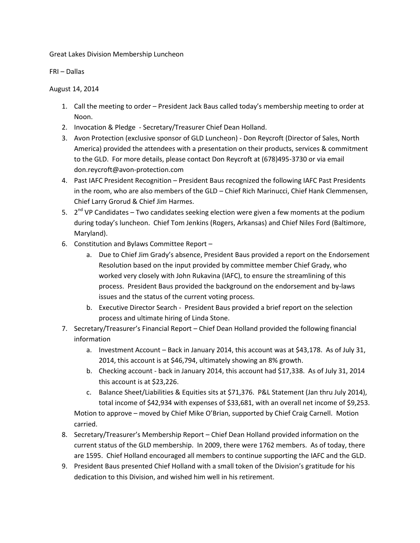Great Lakes Division Membership Luncheon

FRI – Dallas

August 14, 2014

- 1. Call the meeting to order President Jack Baus called today's membership meeting to order at Noon.
- 2. Invocation & Pledge Secretary/Treasurer Chief Dean Holland.
- 3. Avon Protection (exclusive sponsor of GLD Luncheon) Don Reycroft (Director of Sales, North America) provided the attendees with a presentation on their products, services & commitment to the GLD. For more details, please contact Don Reycroft at (678)495-3730 or via email don.reycroft@avon-protection.com
- 4. Past IAFC President Recognition President Baus recognized the following IAFC Past Presidents in the room, who are also members of the GLD – Chief Rich Marinucci, Chief Hank Clemmensen, Chief Larry Grorud & Chief Jim Harmes.
- 5.  $2^{nd}$  VP Candidates Two candidates seeking election were given a few moments at the podium during today's luncheon. Chief Tom Jenkins (Rogers, Arkansas) and Chief Niles Ford (Baltimore, Maryland).
- 6. Constitution and Bylaws Committee Report
	- a. Due to Chief Jim Grady's absence, President Baus provided a report on the Endorsement Resolution based on the input provided by committee member Chief Grady, who worked very closely with John Rukavina (IAFC), to ensure the streamlining of this process. President Baus provided the background on the endorsement and by-laws issues and the status of the current voting process.
	- b. Executive Director Search President Baus provided a brief report on the selection process and ultimate hiring of Linda Stone.
- 7. Secretary/Treasurer's Financial Report Chief Dean Holland provided the following financial information
	- a. Investment Account Back in January 2014, this account was at \$43,178. As of July 31, 2014, this account is at \$46,794, ultimately showing an 8% growth.
	- b. Checking account back in January 2014, this account had \$17,338. As of July 31, 2014 this account is at \$23,226.
	- c. Balance Sheet/Liabilities & Equities sits at \$71,376. P&L Statement (Jan thru July 2014), total income of \$42,934 with expenses of \$33,681, with an overall net income of \$9,253. Motion to approve – moved by Chief Mike O'Brian, supported by Chief Craig Carnell. Motion carried.
- 8. Secretary/Treasurer's Membership Report Chief Dean Holland provided information on the current status of the GLD membership. In 2009, there were 1762 members. As of today, there are 1595. Chief Holland encouraged all members to continue supporting the IAFC and the GLD.
- 9. President Baus presented Chief Holland with a small token of the Division's gratitude for his dedication to this Division, and wished him well in his retirement.